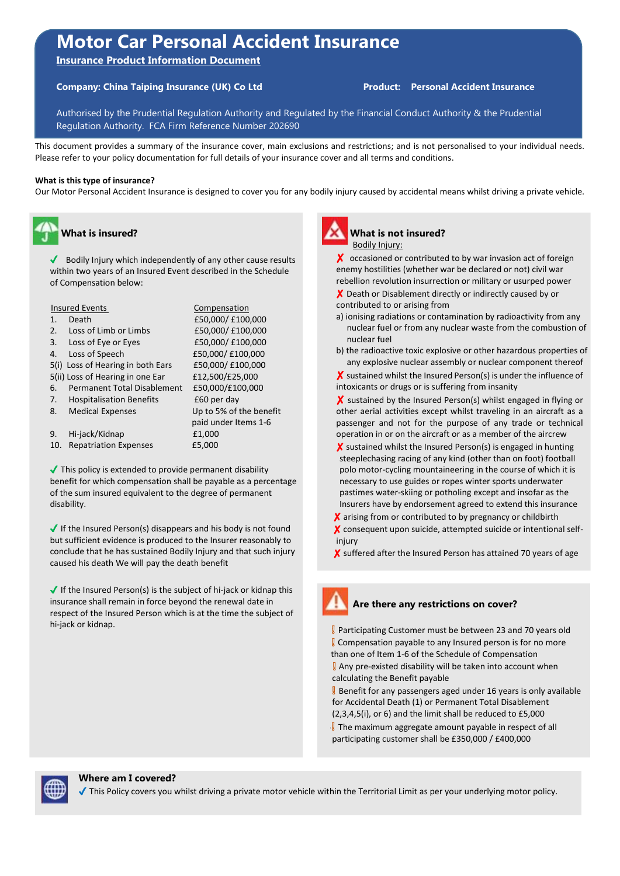# **Motor Car Personal Accident Insurance**

**Insurance Product Information Document** 

# **Company: China Taiping Insurance (UK) Co Ltd Product: Personal Accident Insurance**

Authorised by the Prudential Regulation Authority and Regulated by the Financial Conduct Authority & the Prudential Regulation Authority. FCA Firm Reference Number 202690

This document provides a summary of the insurance cover, main exclusions and restrictions; and is not personalised to your individual needs. Please refer to your policy documentation for full details of your insurance cover and all terms and conditions.

#### **What is this type of insurance?**

Our Motor Personal Accident Insurance is designed to cover you for any bodily injury caused by accidental means whilst driving a private vehicle.

# **What is insured?**

 $\sqrt{\phantom{a}}$  Bodily Injury which independently of any other cause results within two years of an Insured Event described in the Schedule of Compensation below:

| <b>Insured Events</b>                    | Compensation            |
|------------------------------------------|-------------------------|
| Death<br>1.                              | £50,000/ £100,000       |
| Loss of Limb or Limbs<br>2.              | £50,000/ £100,000       |
| Loss of Eye or Eyes<br>3.                | £50,000/ £100,000       |
| Loss of Speech<br>4.                     | £50,000/ £100,000       |
| 5(i) Loss of Hearing in both Ears        | £50,000/ £100,000       |
| 5(ii) Loss of Hearing in one Ear         | £12,500/£25,000         |
| <b>Permanent Total Disablement</b><br>6. | £50,000/£100,000        |
| <b>Hospitalisation Benefits</b><br>7.    | £60 per day             |
| <b>Medical Expenses</b><br>8.            | Up to 5% of the benefit |
|                                          | paid under Items 1-6    |
| Hi-jack/Kidnap<br>9.                     | £1,000                  |
| <b>Repatriation Expenses</b><br>10.      | £5,000                  |

 $\blacktriangledown$  This policy is extended to provide permanent disability benefit for which compensation shall be payable as a percentage of the sum insured equivalent to the degree of permanent disability.

 $\blacktriangledown$  If the Insured Person(s) disappears and his body is not found but sufficient evidence is produced to the Insurer reasonably to conclude that he has sustained Bodily Injury and that such injury caused his death We will pay the death benefit

 $\blacktriangleright$  If the Insured Person(s) is the subject of hi-jack or kidnap this insurance shall remain in force beyond the renewal date in respect of the Insured Person which is at the time the subject of hi-jack or kidnap.



# **What is not insured? Bodily Injury:**

X occasioned or contributed to by war invasion act of foreign enemy hostilities (whether war be declared or not) civil war rebellion revolution insurrection or military or usurped power

X Death or Disablement directly or indirectly caused by or contributed to or arising from

- a) ionising radiations or contamination by radioactivity from any nuclear fuel or from any nuclear waste from the combustion of nuclear fuel
- b) the radioactive toxic explosive or other hazardous properties of any explosive nuclear assembly or nuclear component thereof

✘ sustained whilst the Insured Person(s) is under the influence of intoxicants or drugs or is suffering from insanity

 ✘ sustained by the Insured Person(s) whilst engaged in flying or other aerial activities except whilst traveling in an aircraft as a passenger and not for the purpose of any trade or technical operation in or on the aircraft or as a member of the aircrew

- ✘ sustained whilst the Insured Person(s) is engaged in hunting steeplechasing racing of any kind (other than on foot) football polo motor-cycling mountaineering in the course of which it is necessary to use guides or ropes winter sports underwater pastimes water-skiing or potholing except and insofar as the Insurers have by endorsement agreed to extend this insurance
- ✘ arising from or contributed to by pregnancy or childbirth
- ✘ consequent upon suicide, attempted suicide or intentional selfinjury

✘ suffered after the Insured Person has attained 70 years of age



# **Are there any restrictions on cover?**

**Participating Customer must be between 23 and 70 years old Compensation payable to any Insured person is for no more** than one of Item 1-6 of the Schedule of Compensation

**J** Any pre-existed disability will be taken into account when calculating the Benefit payable

**B** Benefit for any passengers aged under 16 years is only available for Accidental Death (1) or Permanent Total Disablement (2,3,4,5(i), or 6) and the limit shall be reduced to £5,000

**B** The maximum aggregate amount payable in respect of all participating customer shall be £350,000 / £400,000



#### **Where am I covered?**

✔ This Policy covers you whilst driving a private motor vehicle within the Territorial Limit as per your underlying motor policy.